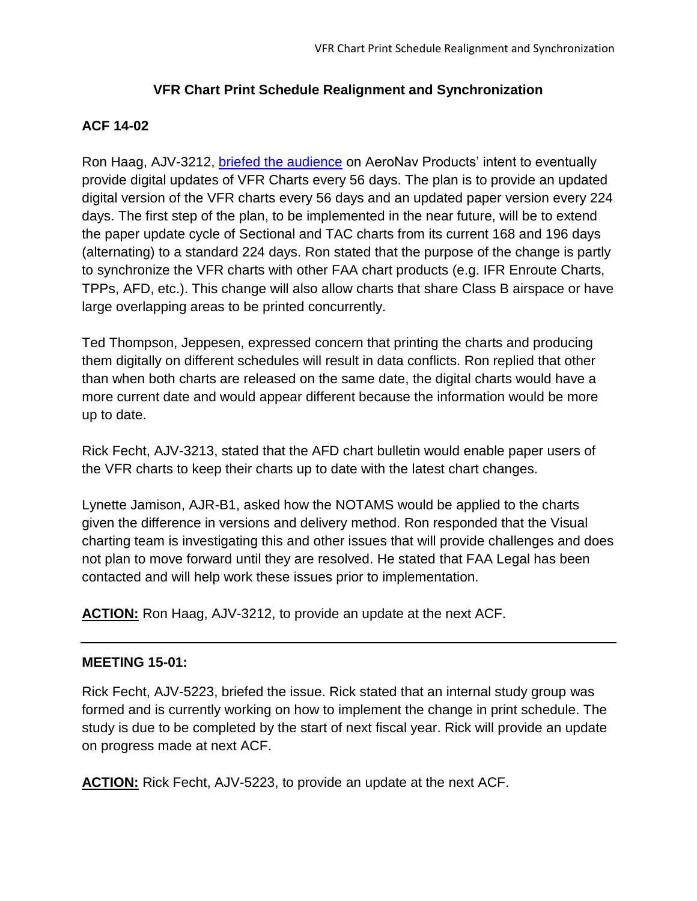## **VFR Chart Print Schedule Realignment and Synchronization**

# **ACF 14-02**

Ron Haag, AJV-3212, [briefed the audience](http://www.faa.gov/air_traffic/flight_info/aeronav/acf/media/Presentations/14-02_VFR_Chrt_Prnt_Schedule_Realignment_Haag.pdf) on AeroNav Products' intent to eventually provide digital updates of VFR Charts every 56 days. The plan is to provide an updated digital version of the VFR charts every 56 days and an updated paper version every 224 days. The first step of the plan, to be implemented in the near future, will be to extend the paper update cycle of Sectional and TAC charts from its current 168 and 196 days (alternating) to a standard 224 days. Ron stated that the purpose of the change is partly to synchronize the VFR charts with other FAA chart products (e.g. IFR Enroute Charts, TPPs, AFD, etc.). This change will also allow charts that share Class B airspace or have large overlapping areas to be printed concurrently.

Ted Thompson, Jeppesen, expressed concern that printing the charts and producing them digitally on different schedules will result in data conflicts. Ron replied that other than when both charts are released on the same date, the digital charts would have a more current date and would appear different because the information would be more up to date.

Rick Fecht, AJV-3213, stated that the AFD chart bulletin would enable paper users of the VFR charts to keep their charts up to date with the latest chart changes.

Lynette Jamison, AJR-B1, asked how the NOTAMS would be applied to the charts given the difference in versions and delivery method. Ron responded that the Visual charting team is investigating this and other issues that will provide challenges and does not plan to move forward until they are resolved. He stated that FAA Legal has been contacted and will help work these issues prior to implementation.

**ACTION:** Ron Haag, AJV-3212, to provide an update at the next ACF.

## **MEETING 15-01:**

Rick Fecht, AJV-5223, briefed the issue. Rick stated that an internal study group was formed and is currently working on how to implement the change in print schedule. The study is due to be completed by the start of next fiscal year. Rick will provide an update on progress made at next ACF.

**ACTION:** Rick Fecht, AJV-5223, to provide an update at the next ACF.